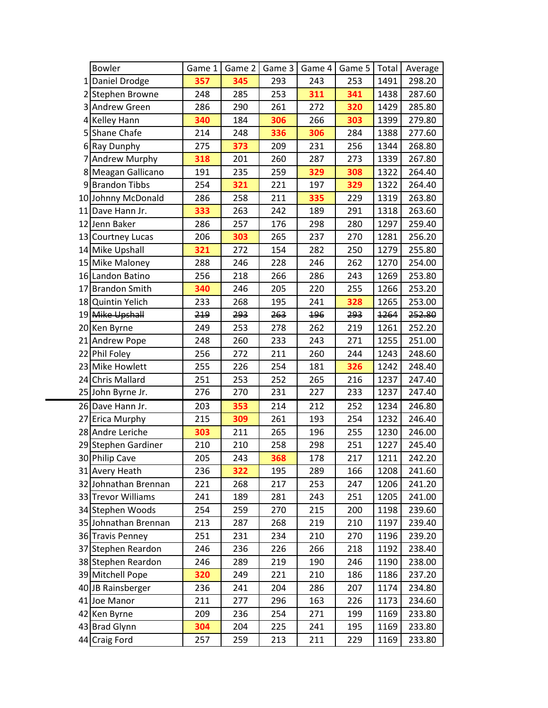|   | <b>Bowler</b>        | Game 1 | Game 2 | Game 3 | Game 4 | Game 5 | Total | Average |
|---|----------------------|--------|--------|--------|--------|--------|-------|---------|
|   | 1 Daniel Drodge      | 357    | 345    | 293    | 243    | 253    | 1491  | 298.20  |
|   | 2 Stephen Browne     | 248    | 285    | 253    | 311    | 341    | 1438  | 287.60  |
|   | 3 Andrew Green       | 286    | 290    | 261    | 272    | 320    | 1429  | 285.80  |
|   | 4 Kelley Hann        | 340    | 184    | 306    | 266    | 303    | 1399  | 279.80  |
|   | 5 Shane Chafe        | 214    | 248    | 336    | 306    | 284    | 1388  | 277.60  |
|   | 6 Ray Dunphy         | 275    | 373    | 209    | 231    | 256    | 1344  | 268.80  |
| 7 | <b>Andrew Murphy</b> | 318    | 201    | 260    | 287    | 273    | 1339  | 267.80  |
|   | 8 Meagan Gallicano   | 191    | 235    | 259    | 329    | 308    | 1322  | 264.40  |
|   | 9 Brandon Tibbs      | 254    | 321    | 221    | 197    | 329    | 1322  | 264.40  |
|   | 10 Johnny McDonald   | 286    | 258    | 211    | 335    | 229    | 1319  | 263.80  |
|   | 11 Dave Hann Jr.     | 333    | 263    | 242    | 189    | 291    | 1318  | 263.60  |
|   | 12 Jenn Baker        | 286    | 257    | 176    | 298    | 280    | 1297  | 259.40  |
|   | 13 Courtney Lucas    | 206    | 303    | 265    | 237    | 270    | 1281  | 256.20  |
|   | 14 Mike Upshall      | 321    | 272    | 154    | 282    | 250    | 1279  | 255.80  |
|   | 15 Mike Maloney      | 288    | 246    | 228    | 246    | 262    | 1270  | 254.00  |
|   | 16 Landon Batino     | 256    | 218    | 266    | 286    | 243    | 1269  | 253.80  |
|   | 17 Brandon Smith     | 340    | 246    | 205    | 220    | 255    | 1266  | 253.20  |
|   | 18 Quintin Yelich    | 233    | 268    | 195    | 241    | 328    | 1265  | 253.00  |
|   | 19 Mike Upshall      | 219    | 293    | 263    | 196    | 293    | 1264  | 252.80  |
|   | 20 Ken Byrne         | 249    | 253    | 278    | 262    | 219    | 1261  | 252.20  |
|   | 21 Andrew Pope       | 248    | 260    | 233    | 243    | 271    | 1255  | 251.00  |
|   | 22 Phil Foley        | 256    | 272    | 211    | 260    | 244    | 1243  | 248.60  |
|   | 23 Mike Howlett      | 255    | 226    | 254    | 181    | 326    | 1242  | 248.40  |
|   | 24 Chris Mallard     | 251    | 253    | 252    | 265    | 216    | 1237  | 247.40  |
|   | 25 John Byrne Jr.    | 276    | 270    | 231    | 227    | 233    | 1237  | 247.40  |
|   | 26 Dave Hann Jr.     | 203    | 353    | 214    | 212    | 252    | 1234  | 246.80  |
|   | 27 Erica Murphy      | 215    | 309    | 261    | 193    | 254    | 1232  | 246.40  |
|   | 28 Andre Leriche     | 303    | 211    | 265    | 196    | 255    | 1230  | 246.00  |
|   | 29 Stephen Gardiner  | 210    | 210    | 258    | 298    | 251    | 1227  | 245.40  |
|   | 30 Philip Cave       | 205    | 243    | 368    | 178    | 217    | 1211  | 242.20  |
|   | 31 Avery Heath       | 236    | 322    | 195    | 289    | 166    | 1208  | 241.60  |
|   | 32 Johnathan Brennan | 221    | 268    | 217    | 253    | 247    | 1206  | 241.20  |
|   | 33 Trevor Williams   | 241    | 189    | 281    | 243    | 251    | 1205  | 241.00  |
|   | 34 Stephen Woods     | 254    | 259    | 270    | 215    | 200    | 1198  | 239.60  |
|   | 35 Johnathan Brennan | 213    | 287    | 268    | 219    | 210    | 1197  | 239.40  |
|   | 36 Travis Penney     | 251    | 231    | 234    | 210    | 270    | 1196  | 239.20  |
|   | 37 Stephen Reardon   | 246    | 236    | 226    | 266    | 218    | 1192  | 238.40  |
|   | 38 Stephen Reardon   | 246    | 289    | 219    | 190    | 246    | 1190  | 238.00  |
|   | 39 Mitchell Pope     | 320    | 249    | 221    | 210    | 186    | 1186  | 237.20  |
|   | 40 JB Rainsberger    | 236    | 241    | 204    | 286    | 207    | 1174  | 234.80  |
|   | 41 Joe Manor         | 211    | 277    | 296    | 163    | 226    | 1173  | 234.60  |
|   | 42 Ken Byrne         | 209    | 236    | 254    | 271    | 199    | 1169  | 233.80  |
|   | 43 Brad Glynn        | 304    | 204    | 225    | 241    | 195    | 1169  | 233.80  |
|   | 44 Craig Ford        | 257    | 259    | 213    | 211    | 229    | 1169  | 233.80  |